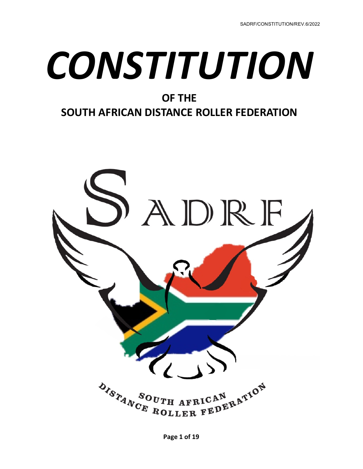# *CONSTITUTION*

# **OF THE**

# **SOUTH AFRICAN DISTANCE ROLLER FEDERATION**

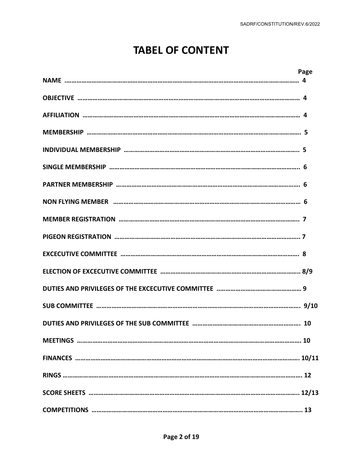# **TABEL OF CONTENT**

| Page |
|------|
|      |
|      |
|      |
|      |
|      |
|      |
|      |
|      |
|      |
|      |
|      |
|      |
|      |
|      |
|      |
|      |
|      |
|      |
|      |
|      |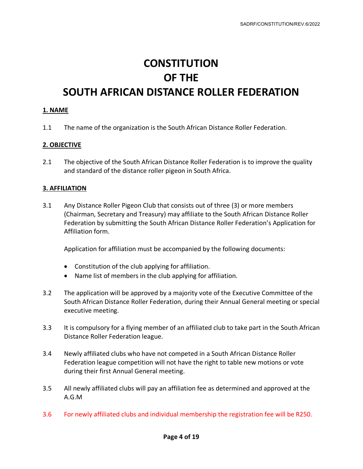# **CONSTITUTION OF THE SOUTH AFRICAN DISTANCE ROLLER FEDERATION**

#### **1. NAME**

1.1 The name of the organization is the South African Distance Roller Federation.

#### **2. OBJECTIVE**

2.1 The objective of the South African Distance Roller Federation is to improve the quality and standard of the distance roller pigeon in South Africa.

#### **3. AFFILIATION**

3.1 Any Distance Roller Pigeon Club that consists out of three (3) or more members (Chairman, Secretary and Treasury) may affiliate to the South African Distance Roller Federation by submitting the South African Distance Roller Federation's Application for Affiliation form.

Application for affiliation must be accompanied by the following documents:

- Constitution of the club applying for affiliation.
- Name list of members in the club applying for affiliation.
- 3.2 The application will be approved by a majority vote of the Executive Committee of the South African Distance Roller Federation, during their Annual General meeting or special executive meeting.
- 3.3 It is compulsory for a flying member of an affiliated club to take part in the South African Distance Roller Federation league.
- 3.4 Newly affiliated clubs who have not competed in a South African Distance Roller Federation league competition will not have the right to table new motions or vote during their first Annual General meeting.
- 3.5 All newly affiliated clubs will pay an affiliation fee as determined and approved at the A.G.M
- 3.6 For newly affiliated clubs and individual membership the registration fee will be R250.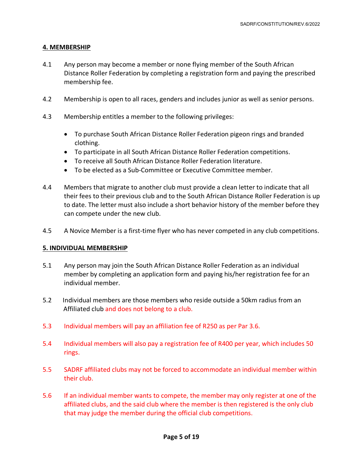# **4. MEMBERSHIP**

- 4.1 Any person may become a member or none flying member of the South African Distance Roller Federation by completing a registration form and paying the prescribed membership fee.
- 4.2 Membership is open to all races, genders and includes junior as well as senior persons.
- 4.3 Membership entitles a member to the following privileges:
	- To purchase South African Distance Roller Federation pigeon rings and branded clothing.
	- To participate in all South African Distance Roller Federation competitions.
	- To receive all South African Distance Roller Federation literature.
	- To be elected as a Sub-Committee or Executive Committee member.
- 4.4 Members that migrate to another club must provide a clean letter to indicate that all their fees to their previous club and to the South African Distance Roller Federation is up to date. The letter must also include a short behavior history of the member before they can compete under the new club.
- 4.5 A Novice Member is a first-time flyer who has never competed in any club competitions.

# **5. INDIVIDUAL MEMBERSHIP**

- 5.1 Any person may join the South African Distance Roller Federation as an individual member by completing an application form and paying his/her registration fee for an individual member.
- 5.2 Individual members are those members who reside outside a 50km radius from an Affiliated club and does not belong to a club.
- 5.3 Individual members will pay an affiliation fee of R250 as per Par 3.6.
- 5.4 Individual members will also pay a registration fee of R400 per year, which includes 50 rings.
- 5.5 SADRF affiliated clubs may not be forced to accommodate an individual member within their club.
- 5.6 If an individual member wants to compete, the member may only register at one of the affiliated clubs, and the said club where the member is then registered is the only club that may judge the member during the official club competitions.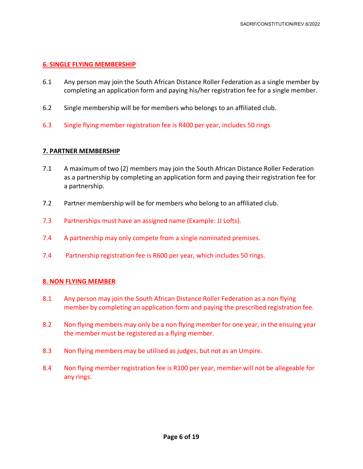#### **6. SINGLE FLYING MEMBERSHIP**

- 6.1 Any person may join the South African Distance Roller Federation as a single member by completing an application form and paying his/her registration fee for a single member.
- 6.2 Single membership will be for members who belongs to an affiliated club.
- 6.3 Single flying member registration fee is R400 per year, includes 50 rings

#### **7. PARTNER MEMBERSHIP**

- 7.1 A maximum of two (2) members may join the South African Distance Roller Federation as a partnership by completing an application form and paying their registration fee for a partnership.
- 7.2 Partner membership will be for members who belong to an affiliated club.
- 7.3 Partnerships must have an assigned name (Example: JJ Lofts).
- 7.4 A partnership may only compete from a single nominated premises.
- 7.4 Partnership registration fee is R600 per year, which includes 50 rings.

#### **8. NON FLYING MEMBER**

- 8.1 Any person may join the South African Distance Roller Federation as a non flying member by completing an application form and paying the prescribed registration fee.
- 8.2 Non flying members may only be a non flying member for one year, in the ensuing year the member must be registered as a flying member.
- 8.3 Non flying members may be utilised as judges, but not as an Umpire.
- 8.4 Non flying member registration fee is R100 per year, member will not be allegeable for any rings.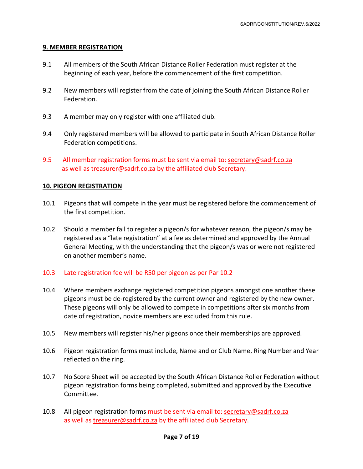## **9. MEMBER REGISTRATION**

- 9.1 All members of the South African Distance Roller Federation must register at the beginning of each year, before the commencement of the first competition.
- 9.2 New members will register from the date of joining the South African Distance Roller Federation.
- 9.3 A member may only register with one affiliated club.
- 9.4 Only registered members will be allowed to participate in South African Distance Roller Federation competitions.
- 9.5 All member registration forms must be sent via email to: [secretary@sadrf.co.za](mailto:secretary@sadrf.co.za) as well a[s treasurer@sadrf.co.za](mailto:treasurer@sadrf.co.za) by the affiliated club Secretary.

## **10. PIGEON REGISTRATION**

- 10.1 Pigeons that will compete in the year must be registered before the commencement of the first competition.
- 10.2 Should a member fail to register a pigeon/s for whatever reason, the pigeon/s may be registered as a "late registration" at a fee as determined and approved by the Annual General Meeting, with the understanding that the pigeon/s was or were not registered on another member's name.

#### 10.3 Late registration fee will be R50 per pigeon as per Par 10.2

- 10.4 Where members exchange registered competition pigeons amongst one another these pigeons must be de-registered by the current owner and registered by the new owner. These pigeons will only be allowed to compete in competitions after six months from date of registration, novice members are excluded from this rule.
- 10.5 New members will register his/her pigeons once their memberships are approved.
- 10.6 Pigeon registration forms must include, Name and or Club Name, Ring Number and Year reflected on the ring.
- 10.7 No Score Sheet will be accepted by the South African Distance Roller Federation without pigeon registration forms being completed, submitted and approved by the Executive Committee.
- 10.8 All pigeon registration forms must be sent via email to: [secretary@sadrf.co.za](mailto:secretary@sadrf.co.za) as well as [treasurer@sadrf.co.za](mailto:treasurer@sadrf.co.za) by the affiliated club Secretary.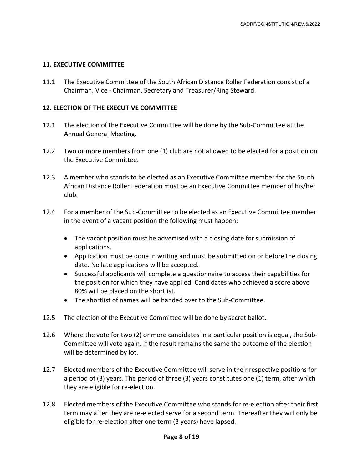#### **11. EXECUTIVE COMMITTEE**

11.1 The Executive Committee of the South African Distance Roller Federation consist of a Chairman, Vice - Chairman, Secretary and Treasurer/Ring Steward.

#### **12. ELECTION OF THE EXECUTIVE COMMITTEE**

- 12.1 The election of the Executive Committee will be done by the Sub-Committee at the Annual General Meeting.
- 12.2 Two or more members from one (1) club are not allowed to be elected for a position on the Executive Committee.
- 12.3 A member who stands to be elected as an Executive Committee member for the South African Distance Roller Federation must be an Executive Committee member of his/her club.
- 12.4 For a member of the Sub-Committee to be elected as an Executive Committee member in the event of a vacant position the following must happen:
	- The vacant position must be advertised with a closing date for submission of applications.
	- Application must be done in writing and must be submitted on or before the closing date. No late applications will be accepted.
	- Successful applicants will complete a questionnaire to access their capabilities for the position for which they have applied. Candidates who achieved a score above 80% will be placed on the shortlist.
	- The shortlist of names will be handed over to the Sub-Committee.
- 12.5 The election of the Executive Committee will be done by secret ballot.
- 12.6 Where the vote for two (2) or more candidates in a particular position is equal, the Sub-Committee will vote again. If the result remains the same the outcome of the election will be determined by lot.
- 12.7 Elected members of the Executive Committee will serve in their respective positions for a period of (3) years. The period of three (3) years constitutes one (1) term, after which they are eligible for re-election.
- 12.8 Elected members of the Executive Committee who stands for re-election after their first term may after they are re-elected serve for a second term. Thereafter they will only be eligible for re-election after one term (3 years) have lapsed.

#### **Page 8 of 19**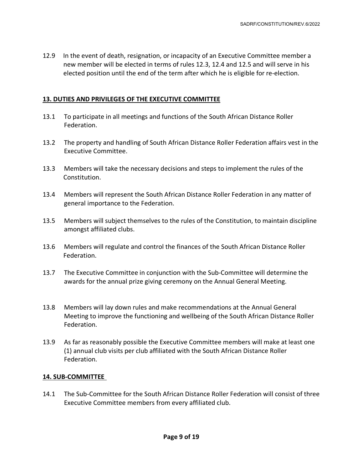12.9 In the event of death, resignation, or incapacity of an Executive Committee member a new member will be elected in terms of rules 12.3, 12.4 and 12.5 and will serve in his elected position until the end of the term after which he is eligible for re-election.

## **13. DUTIES AND PRIVILEGES OF THE EXECUTIVE COMMITTEE**

- 13.1 To participate in all meetings and functions of the South African Distance Roller Federation.
- 13.2 The property and handling of South African Distance Roller Federation affairs vest in the Executive Committee.
- 13.3 Members will take the necessary decisions and steps to implement the rules of the Constitution.
- 13.4 Members will represent the South African Distance Roller Federation in any matter of general importance to the Federation.
- 13.5 Members will subject themselves to the rules of the Constitution, to maintain discipline amongst affiliated clubs.
- 13.6 Members will regulate and control the finances of the South African Distance Roller Federation.
- 13.7 The Executive Committee in conjunction with the Sub-Committee will determine the awards for the annual prize giving ceremony on the Annual General Meeting.
- 13.8 Members will lay down rules and make recommendations at the Annual General Meeting to improve the functioning and wellbeing of the South African Distance Roller Federation.
- 13.9 As far as reasonably possible the Executive Committee members will make at least one (1) annual club visits per club affiliated with the South African Distance Roller Federation.

# **14. SUB-COMMITTEE**

14.1 The Sub-Committee for the South African Distance Roller Federation will consist of three Executive Committee members from every affiliated club.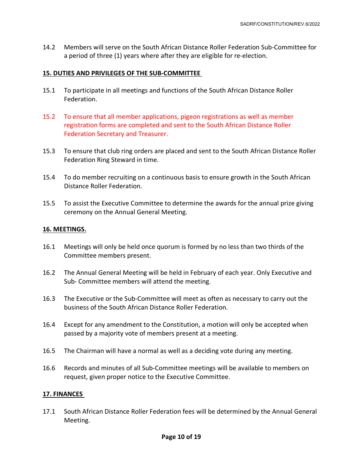14.2 Members will serve on the South African Distance Roller Federation Sub-Committee for a period of three (1) years where after they are eligible for re-election.

#### **15. DUTIES AND PRIVILEGES OF THE SUB-COMMITTEE**

- 15.1 To participate in all meetings and functions of the South African Distance Roller Federation.
- 15.2 To ensure that all member applications, pigeon registrations as well as member registration forms are completed and sent to the South African Distance Roller Federation Secretary and Treasurer.
- 15.3 To ensure that club ring orders are placed and sent to the South African Distance Roller Federation Ring Steward in time.
- 15.4 To do member recruiting on a continuous basis to ensure growth in the South African Distance Roller Federation.
- 15.5 To assist the Executive Committee to determine the awards for the annual prize giving ceremony on the Annual General Meeting.

## **16. MEETINGS.**

- 16.1 Meetings will only be held once quorum is formed by no less than two thirds of the Committee members present.
- 16.2 The Annual General Meeting will be held in February of each year. Only Executive and Sub- Committee members will attend the meeting.
- 16.3 The Executive or the Sub-Committee will meet as often as necessary to carry out the business of the South African Distance Roller Federation.
- 16.4 Except for any amendment to the Constitution, a motion will only be accepted when passed by a majority vote of members present at a meeting.
- 16.5 The Chairman will have a normal as well as a deciding vote during any meeting.
- 16.6 Records and minutes of all Sub-Committee meetings will be available to members on request, given proper notice to the Executive Committee.

#### **17. FINANCES**

17.1 South African Distance Roller Federation fees will be determined by the Annual General Meeting.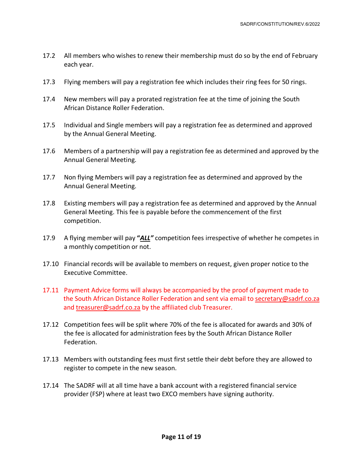- 17.2 All members who wishes to renew their membership must do so by the end of February each year.
- 17.3 Flying members will pay a registration fee which includes their ring fees for 50 rings.
- 17.4 New members will pay a prorated registration fee at the time of joining the South African Distance Roller Federation.
- 17.5 Individual and Single members will pay a registration fee as determined and approved by the Annual General Meeting.
- 17.6 Members of a partnership will pay a registration fee as determined and approved by the Annual General Meeting.
- 17.7 Non flying Members will pay a registration fee as determined and approved by the Annual General Meeting.
- 17.8 Existing members will pay a registration fee as determined and approved by the Annual General Meeting. This fee is payable before the commencement of the first competition.
- 17.9 A flying member will pay **"***ALL"* competition fees irrespective of whether he competes in a monthly competition or not.
- 17.10 Financial records will be available to members on request, given proper notice to the Executive Committee.
- 17.11 Payment Advice forms will always be accompanied by the proof of payment made to the South African Distance Roller Federation and sent via email to [secretary@sadrf.co.za](mailto:secretary@sadrf.co.za) and [treasurer@sadrf.co.za](mailto:treasurer@sadrf.co.za) by the affiliated club Treasurer.
- 17.12 Competition fees will be split where 70% of the fee is allocated for awards and 30% of the fee is allocated for administration fees by the South African Distance Roller Federation.
- 17.13 Members with outstanding fees must first settle their debt before they are allowed to register to compete in the new season.
- 17.14 The SADRF will at all time have a bank account with a registered financial service provider (FSP) where at least two EXCO members have signing authority.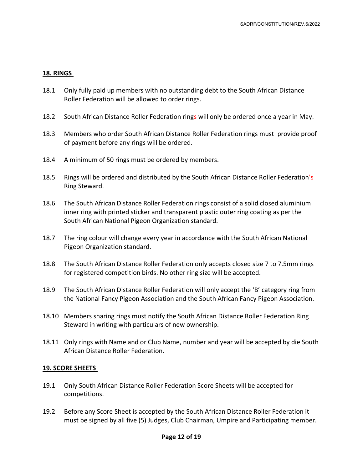#### **18. RINGS**

- 18.1 Only fully paid up members with no outstanding debt to the South African Distance Roller Federation will be allowed to order rings.
- 18.2 South African Distance Roller Federation rings will only be ordered once a year in May.
- 18.3 Members who order South African Distance Roller Federation rings must provide proof of payment before any rings will be ordered.
- 18.4 A minimum of 50 rings must be ordered by members.
- 18.5 Rings will be ordered and distributed by the South African Distance Roller Federation's Ring Steward.
- 18.6 The South African Distance Roller Federation rings consist of a solid closed aluminium inner ring with printed sticker and transparent plastic outer ring coating as per the South African National Pigeon Organization standard.
- 18.7 The ring colour will change every year in accordance with the South African National Pigeon Organization standard.
- 18.8 The South African Distance Roller Federation only accepts closed size 7 to 7.5mm rings for registered competition birds. No other ring size will be accepted.
- 18.9 The South African Distance Roller Federation will only accept the 'B' category ring from the National Fancy Pigeon Association and the South African Fancy Pigeon Association.
- 18.10 Members sharing rings must notify the South African Distance Roller Federation Ring Steward in writing with particulars of new ownership.
- 18.11 Only rings with Name and or Club Name, number and year will be accepted by die South African Distance Roller Federation.

#### **19. SCORE SHEETS**

- 19.1 Only South African Distance Roller Federation Score Sheets will be accepted for competitions.
- 19.2 Before any Score Sheet is accepted by the South African Distance Roller Federation it must be signed by all five (5) Judges, Club Chairman, Umpire and Participating member.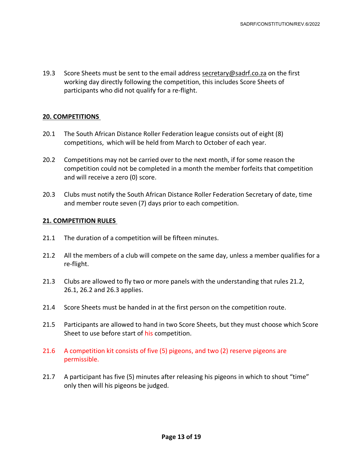19.3 Score Sheets must be sent to the email address [secretary@sadrf.co.za](mailto:secretary@sadrf.co.za) on the first working day directly following the competition, this includes Score Sheets of participants who did not qualify for a re-flight.

#### **20. COMPETITIONS**

- 20.1 The South African Distance Roller Federation league consists out of eight (8) competitions, which will be held from March to October of each year.
- 20.2 Competitions may not be carried over to the next month, if for some reason the competition could not be completed in a month the member forfeits that competition and will receive a zero (0) score.
- 20.3 Clubs must notify the South African Distance Roller Federation Secretary of date, time and member route seven (7) days prior to each competition.

#### **21. COMPETITION RULES**

- 21.1 The duration of a competition will be fifteen minutes.
- 21.2 All the members of a club will compete on the same day, unless a member qualifies for a re-flight.
- 21.3 Clubs are allowed to fly two or more panels with the understanding that rules 21.2, 26.1, 26.2 and 26.3 applies.
- 21.4 Score Sheets must be handed in at the first person on the competition route.
- 21.5 Participants are allowed to hand in two Score Sheets, but they must choose which Score Sheet to use before start of his competition.
- 21.6 A competition kit consists of five (5) pigeons, and two (2) reserve pigeons are permissible.
- 21.7 A participant has five (5) minutes after releasing his pigeons in which to shout "time" only then will his pigeons be judged.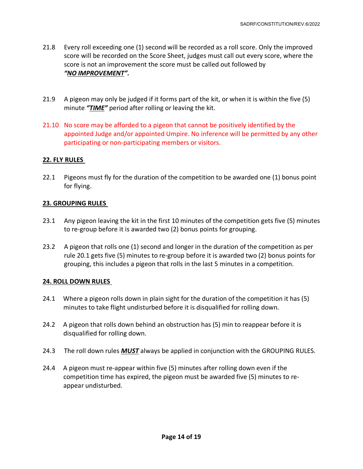- 21.8 Every roll exceeding one (1) second will be recorded as a roll score. Only the improved score will be recorded on the Score Sheet, judges must call out every score, where the score is not an improvement the score must be called out followed by *"NO IMPROVEMENT".*
- 21.9 A pigeon may only be judged if it forms part of the kit, or when it is within the five (5) minute *"TIME"* period after rolling or leaving the kit.
- 21.10 No score may be afforded to a pigeon that cannot be positively identified by the appointed Judge and/or appointed Umpire. No inference will be permitted by any other participating or non-participating members or visitors.

# **22. FLY RULES**

22.1 Pigeons must fly for the duration of the competition to be awarded one (1) bonus point for flying.

# **23. GROUPING RULES**

- 23.1 Any pigeon leaving the kit in the first 10 minutes of the competition gets five (5) minutes to re-group before it is awarded two (2) bonus points for grouping.
- 23.2 A pigeon that rolls one (1) second and longer in the duration of the competition as per rule 20.1 gets five (5) minutes to re-group before it is awarded two (2) bonus points for grouping, this includes a pigeon that rolls in the last 5 minutes in a competition.

# **24. ROLL DOWN RULES**

- 24.1 Where a pigeon rolls down in plain sight for the duration of the competition it has (5) minutes to take flight undisturbed before it is disqualified for rolling down.
- 24.2 A pigeon that rolls down behind an obstruction has (5) min to reappear before it is disqualified for rolling down.
- 24.3 The roll down rules *MUST* always be applied in conjunction with the GROUPING RULES.
- 24.4 A pigeon must re-appear within five (5) minutes after rolling down even if the competition time has expired, the pigeon must be awarded five (5) minutes to re appear undisturbed.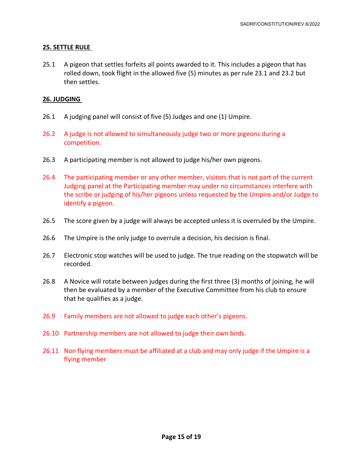## **25. SETTLE RULE**

25.1 A pigeon that settles forfeits all points awarded to it. This includes a pigeon that has rolled down, took flight in the allowed five (5) minutes as per rule 23.1 and 23.2 but then settles.

#### **26. JUDGING**

- 26.1 A judging panel will consist of five (5) Judges and one (1) Umpire.
- 26.2 A judge is not allowed to simultaneously judge two or more pigeons during a competition.
- 26.3 A participating member is not allowed to judge his/her own pigeons.
- 26.4 The participating member or any other member, visitors that is not part of the current Judging panel at the Participating member may under no circumstances interfere with the scribe or judging of his/her pigeons unless requested by the Umpire and/or Judge to identify a pigeon.
- 26.5 The score given by a judge will always be accepted unless it is overruled by the Umpire.
- 26.6 The Umpire is the only judge to overrule a decision, his decision is final.
- 26.7 Electronic stop watches will be used to judge. The true reading on the stopwatch will be recorded.
- 26.8 A Novice will rotate between judges during the first three (3) months of joining, he will then be evaluated by a member of the Executive Committee from his club to ensure that he qualifies as a judge.
- 26.9 Family members are not allowed to judge each other's pigeons.
- 26.10 Partnership members are not allowed to judge their own birds.
- 26.11 Non flying members must be affiliated at a club and may only judge if the Umpire is a flying member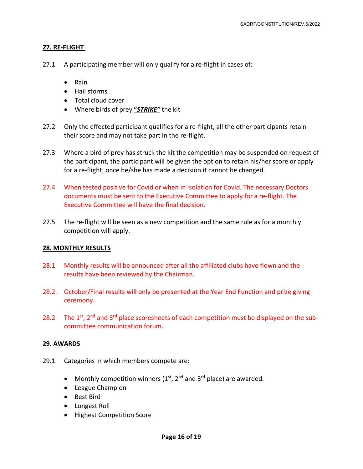#### **27. RE-FLIGHT**

- 27.1 A participating member will only qualify for a re-flight in cases of:
	- Rain
	- Hail storms
	- Total cloud cover
	- Where birds of prey **"***STRIKE"* the kit
- 27.2 Only the effected participant qualifies for a re-flight, all the other participants retain their score and may not take part in the re-flight.
- 27.3 Where a bird of prey has struck the kit the competition may be suspended on request of the participant, the participant will be given the option to retain his/her score or apply for a re-flight, once he/she has made a decision it cannot be changed.
- 27.4 When tested positive for Covid or when in isolation for Covid. The necessary Doctors documents must be sent to the Executive Committee to apply for a re-flight. The Executive Committee will have the final decision.
- 27.5 The re-flight will be seen as a new competition and the same rule as for a monthly competition will apply.

#### **28. MONTHLY RESULTS**

- 28.1 Monthly results will be announced after all the affiliated clubs have flown and the results have been reviewed by the Chairman.
- 28.2. October/Final results will only be presented at the Year End Function and prize giving ceremony.
- 28.2 The  $1^{st}$ ,  $2^{nd}$  and  $3^{rd}$  place scoresheets of each competition must be displayed on the subcommittee communication forum.

#### **29. AWARDS**

- 29.1 Categories in which members compete are:
	- Monthly competition winners  $(1<sup>st</sup>, 2<sup>nd</sup>$  and  $3<sup>rd</sup>$  place) are awarded.
	- League Champion
	- Best Bird
	- Longest Roll
	- Highest Competition Score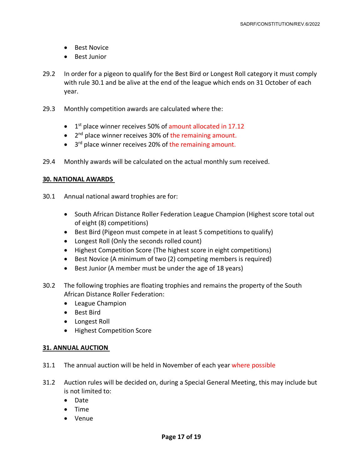- Best Novice
- Best Junior
- 29.2 In order for a pigeon to qualify for the Best Bird or Longest Roll category it must comply with rule 30.1 and be alive at the end of the league which ends on 31 October of each year.
- 29.3 Monthly competition awards are calculated where the:
	- $\bullet$  1<sup>st</sup> place winner receives 50% of amount allocated in 17.12
	- 2<sup>nd</sup> place winner receives 30% of the remaining amount.
	- $\bullet$  3<sup>rd</sup> place winner receives 20% of the remaining amount.
- 29.4 Monthly awards will be calculated on the actual monthly sum received.

## **30. NATIONAL AWARDS**

- 30.1 Annual national award trophies are for:
	- South African Distance Roller Federation League Champion (Highest score total out of eight (8) competitions)
	- Best Bird (Pigeon must compete in at least 5 competitions to qualify)
	- Longest Roll (Only the seconds rolled count)
	- Highest Competition Score (The highest score in eight competitions)
	- Best Novice (A minimum of two (2) competing members is required)
	- Best Junior (A member must be under the age of 18 years)
- 30.2 The following trophies are floating trophies and remains the property of the South African Distance Roller Federation:
	- League Champion
	- Best Bird
	- Longest Roll
	- Highest Competition Score

#### **31. ANNUAL AUCTION**

- 31.1 The annual auction will be held in November of each year where possible
- 31.2 Auction rules will be decided on, during a Special General Meeting, this may include but is not limited to:
	- Date
	- Time
	- Venue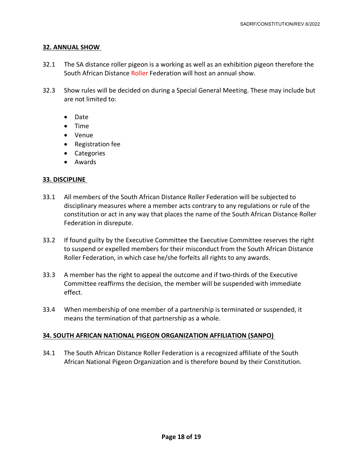## **32. ANNUAL SHOW**

- 32.1 The SA distance roller pigeon is a working as well as an exhibition pigeon therefore the South African Distance Roller Federation will host an annual show.
- 32.3 Show rules will be decided on during a Special General Meeting. These may include but are not limited to:
	- Date
	- Time
	- Venue
	- Registration fee
	- Categories
	- Awards

# **33. DISCIPLINE**

- 33.1 All members of the South African Distance Roller Federation will be subjected to disciplinary measures where a member acts contrary to any regulations or rule of the constitution or act in any way that places the name of the South African Distance Roller Federation in disrepute.
- 33.2 If found guilty by the Executive Committee the Executive Committee reserves the right to suspend or expelled members for their misconduct from the South African Distance Roller Federation, in which case he/she forfeits all rights to any awards.
- 33.3 A member has the right to appeal the outcome and if two-thirds of the Executive Committee reaffirms the decision, the member will be suspended with immediate effect.
- 33.4 When membership of one member of a partnership is terminated or suspended, it means the termination of that partnership as a whole.

# **34. SOUTH AFRICAN NATIONAL PIGEON ORGANIZATION AFFILIATION (SANPO)**

34.1 The South African Distance Roller Federation is a recognized affiliate of the South African National Pigeon Organization and is therefore bound by their Constitution.